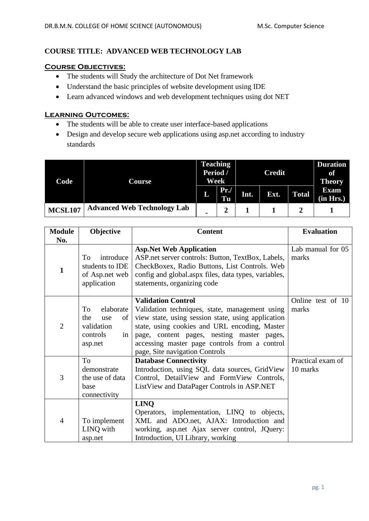# **COURSE TITLE: ADVANCED WEB TECHNOLOGY LAB**

### **Course Objectives:**

- The students will Study the architecture of Dot Net framework
- Understand the basic principles of website development using IDE
- Learn advanced windows and web development techniques using dot NET

## **Learning Outcomes:**

- The students will be able to create user interface-based applications
- Design and develop secure web applications using asp.net according to industry standards

| Code           | Course                             | <b>Teaching</b><br>Period /<br>Week |                | <b>Credit</b> |      |              | <b>Duration</b><br>of<br><b>Theory</b> |
|----------------|------------------------------------|-------------------------------------|----------------|---------------|------|--------------|----------------------------------------|
|                |                                    | L                                   | Pr.<br>Tu      | Int.          | Ext. | <b>Total</b> | <b>Exam</b><br>(in Hrs.)               |
| <b>MCSL107</b> | <b>Advanced Web Technology Lab</b> | $\blacksquare$                      | $\overline{2}$ |               |      |              |                                        |

| <b>Module</b>  | Objective                                                                      | <b>Content</b>                                                                                                                                                                                                                                                                                                      | <b>Evaluation</b>             |  |
|----------------|--------------------------------------------------------------------------------|---------------------------------------------------------------------------------------------------------------------------------------------------------------------------------------------------------------------------------------------------------------------------------------------------------------------|-------------------------------|--|
| No.            |                                                                                |                                                                                                                                                                                                                                                                                                                     |                               |  |
| $\mathbf{1}$   | introduce<br>To<br>students to IDE<br>of Asp.net web<br>application            | <b>Asp.Net Web Application</b><br>ASP net server controls: Button, TextBox, Labels,<br>CheckBoxex, Radio Buttons, List Controls. Web<br>config and global.aspx files, data types, variables,<br>statements, organizing code                                                                                         | Lab manual for 05<br>marks    |  |
| $\overline{2}$ | elaborate<br>To<br>the<br>use<br>of<br>validation<br>controls<br>in<br>asp.net | <b>Validation Control</b><br>Validation techniques, state, management using<br>view state, using session state, using application<br>state, using cookies and URL encoding, Master<br>page, content pages, nesting master pages,<br>accessing master page controls from a control<br>page, Site navigation Controls | Online test of 10<br>marks    |  |
| 3              | To<br>demonstrate<br>the use of data<br>base<br>connectivity                   | <b>Database Connectivity</b><br>Introduction, using SQL data sources, GridView<br>Control, DetailView and FormView Controls,<br>ListView and DataPager Controls in ASP.NET                                                                                                                                          | Practical exam of<br>10 marks |  |
| $\overline{4}$ | To implement<br>LINQ with<br>asp.net                                           | <b>LINQ</b><br>Operators, implementation, LINQ to objects,<br>XML and ADO.net, AJAX: Introduction and<br>working, asp.net Ajax server control, JQuery:<br>Introduction, UI Library, working                                                                                                                         |                               |  |